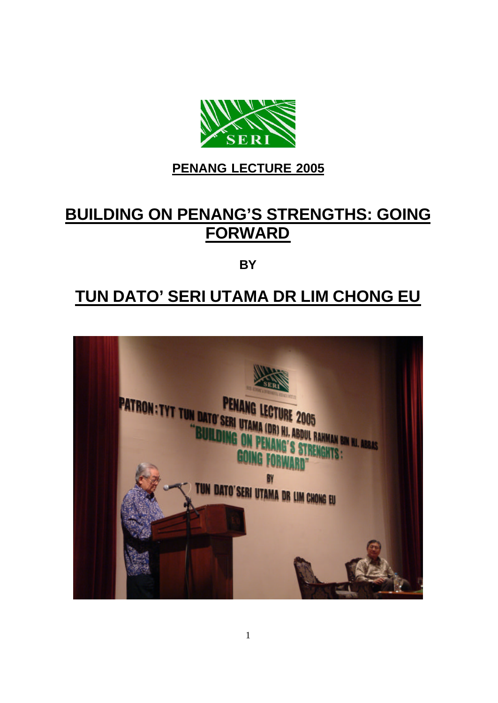

## **PENANG LECTURE 2005**

# **BUILDING ON PENANG'S STRENGTHS: GOING FORWARD**

**BY**

## **TUN DATO' SERI UTAMA DR LIM CHONG EU**

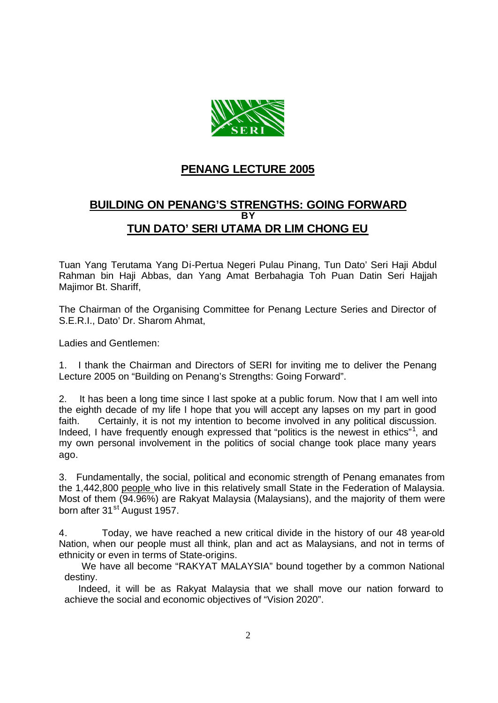

### **PENANG LECTURE 2005**

### **BUILDING ON PENANG'S STRENGTHS: GOING FORWARD BY TUN DATO' SERI UTAMA DR LIM CHONG EU**

Tuan Yang Terutama Yang Di-Pertua Negeri Pulau Pinang, Tun Dato' Seri Haji Abdul Rahman bin Haji Abbas, dan Yang Amat Berbahagia Toh Puan Datin Seri Hajjah Majimor Bt. Shariff,

The Chairman of the Organising Committee for Penang Lecture Series and Director of S.E.R.I., Dato' Dr. Sharom Ahmat,

Ladies and Gentlemen:

1. I thank the Chairman and Directors of SERI for inviting me to deliver the Penang Lecture 2005 on "Building on Penang's Strengths: Going Forward".

2. It has been a long time since I last spoke at a public forum. Now that I am well into the eighth decade of my life I hope that you will accept any lapses on my part in good faith. Certainly, it is not my intention to become involved in any political discussion. Indeed, I have frequently enough expressed that "politics is the newest in ethics"<sup>1</sup>, and my own personal involvement in the politics of social change took place many years ago.

3. Fundamentally, the social, political and economic strength of Penang emanates from the 1,442,800 people who live in this relatively small State in the Federation of Malaysia. Most of them (94.96%) are Rakyat Malaysia (Malaysians), and the majority of them were born after 31<sup>st</sup> August 1957.

4. Today, we have reached a new critical divide in the history of our 48 year-old Nation, when our people must all think, plan and act as Malaysians, and not in terms of ethnicity or even in terms of State-origins.

 We have all become "RAKYAT MALAYSIA" bound together by a common National destiny.

 Indeed, it will be as Rakyat Malaysia that we shall move our nation forward to achieve the social and economic objectives of "Vision 2020".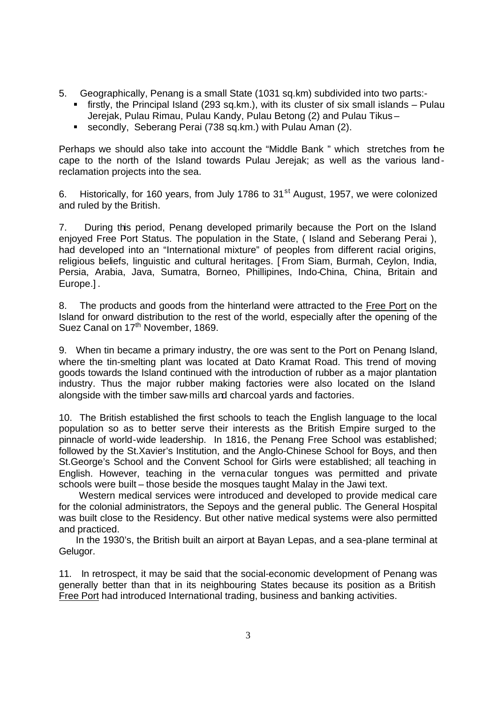- 5. Geographically, Penang is a small State (1031 sq.km) subdivided into two parts:
	- **firstly, the Principal Island (293 sq.km.), with its cluster of six small islands Pulau** Jerejak, Pulau Rimau, Pulau Kandy, Pulau Betong (2) and Pulau Tikus –
	- **E** secondly, Seberang Perai (738 sq.km.) with Pulau Aman (2).

Perhaps we should also take into account the "Middle Bank " which stretches from the cape to the north of the Island towards Pulau Jerejak; as well as the various landreclamation projects into the sea.

6. Historically, for 160 years, from July 1786 to 31<sup>st</sup> August, 1957, we were colonized and ruled by the British.

7. During this period, Penang developed primarily because the Port on the Island enjoyed Free Port Status. The population in the State, ( Island and Seberang Perai ), had developed into an "International mixture" of peoples from different racial origins, religious beliefs, linguistic and cultural heritages. [ From Siam, Burmah, Ceylon, India, Persia, Arabia, Java, Sumatra, Borneo, Phillipines, Indo-China, China, Britain and Europe.] .

8. The products and goods from the hinterland were attracted to the Free Port on the Island for onward distribution to the rest of the world, especially after the opening of the Suez Canal on 17<sup>th</sup> November, 1869.

9. When tin became a primary industry, the ore was sent to the Port on Penang Island, where the tin-smelting plant was located at Dato Kramat Road. This trend of moving goods towards the Island continued with the introduction of rubber as a major plantation industry. Thus the major rubber making factories were also located on the Island alongside with the timber saw-mills and charcoal yards and factories.

10. The British established the first schools to teach the English language to the local population so as to better serve their interests as the British Empire surged to the pinnacle of world-wide leadership. In 1816, the Penang Free School was established; followed by the St.Xavier's Institution, and the Anglo-Chinese School for Boys, and then St.George's School and the Convent School for Girls were established; all teaching in English. However, teaching in the vernacular tongues was permitted and private schools were built – those beside the mosques taught Malay in the Jawi text.

 Western medical services were introduced and developed to provide medical care for the colonial administrators, the Sepoys and the general public. The General Hospital was built close to the Residency. But other native medical systems were also permitted and practiced.

 In the 1930's, the British built an airport at Bayan Lepas, and a sea-plane terminal at Gelugor.

11. In retrospect, it may be said that the social-economic development of Penang was generally better than that in its neighbouring States because its position as a British Free Port had introduced International trading, business and banking activities.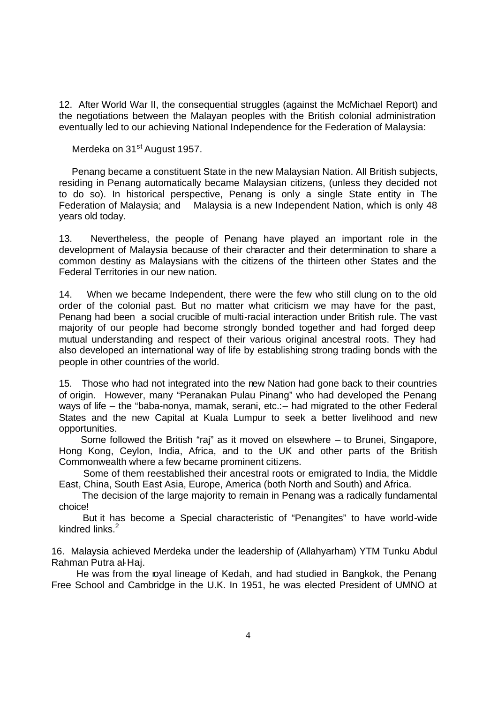12. After World War II, the consequential struggles (against the McMichael Report) and the negotiations between the Malayan peoples with the British colonial administration eventually led to our achieving National Independence for the Federation of Malaysia:

Merdeka on 31<sup>st</sup> August 1957.

 Penang became a constituent State in the new Malaysian Nation. All British subjects, residing in Penang automatically became Malaysian citizens, (unless they decided not to do so). In historical perspective, Penang is only a single State entity in The Federation of Malaysia; and Malaysia is a new Independent Nation, which is only 48 years old today.

13. Nevertheless, the people of Penang have played an important role in the development of Malaysia because of their character and their determination to share a common destiny as Malaysians with the citizens of the thirteen other States and the Federal Territories in our new nation.

14. When we became Independent, there were the few who still clung on to the old order of the colonial past. But no matter what criticism we may have for the past, Penang had been a social crucible of multi-racial interaction under British rule. The vast majority of our people had become strongly bonded together and had forged deep mutual understanding and respect of their various original ancestral roots. They had also developed an international way of life by establishing strong trading bonds with the people in other countries of the world.

15. Those who had not integrated into the new Nation had gone back to their countries of origin. However, many "Peranakan Pulau Pinang" who had developed the Penang ways of life – the "baba-nonya, mamak, serani, etc.:– had migrated to the other Federal States and the new Capital at Kuala Lumpur to seek a better livelihood and new opportunities.

Some followed the British "raj" as it moved on elsewhere – to Brunei, Singapore, Hong Kong, Ceylon, India, Africa, and to the UK and other parts of the British Commonwealth where a few became prominent citizens.

 Some of them reestablished their ancestral roots or emigrated to India, the Middle East, China, South East Asia, Europe, America (both North and South) and Africa.

 The decision of the large majority to remain in Penang was a radically fundamental choice!

 But it has become a Special characteristic of "Penangites" to have world-wide kindred links.<sup>2</sup>

16. Malaysia achieved Merdeka under the leadership of (Allahyarham) YTM Tunku Abdul Rahman Putra al-Haj.

 He was from the royal lineage of Kedah, and had studied in Bangkok, the Penang Free School and Cambridge in the U.K. In 1951, he was elected President of UMNO at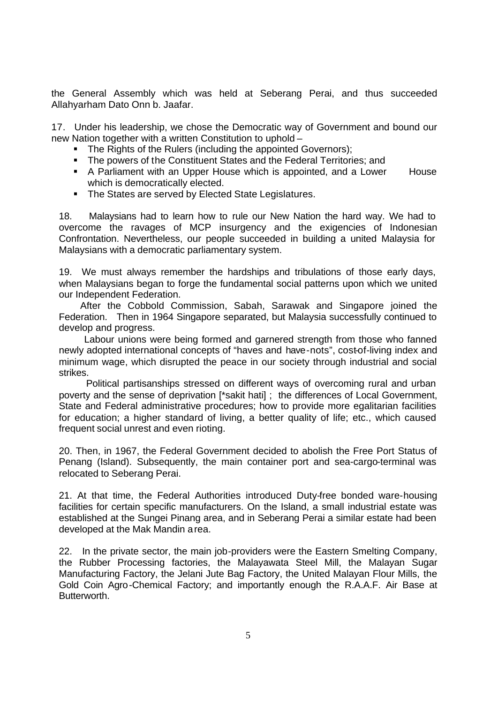the General Assembly which was held at Seberang Perai, and thus succeeded Allahyarham Dato Onn b. Jaafar.

17. Under his leadership, we chose the Democratic way of Government and bound our new Nation together with a written Constitution to uphold –

- The Rights of the Rulers (including the appointed Governors);
- The powers of the Constituent States and the Federal Territories; and
- A Parliament with an Upper House which is appointed, and a Lower House which is democratically elected.
- The States are served by Elected State Legislatures.

18. Malaysians had to learn how to rule our New Nation the hard way. We had to overcome the ravages of MCP insurgency and the exigencies of Indonesian Confrontation. Nevertheless, our people succeeded in building a united Malaysia for Malaysians with a democratic parliamentary system.

19. We must always remember the hardships and tribulations of those early days, when Malaysians began to forge the fundamental social patterns upon which we united our Independent Federation.

 After the Cobbold Commission, Sabah, Sarawak and Singapore joined the Federation. Then in 1964 Singapore separated, but Malaysia successfully continued to develop and progress.

 Labour unions were being formed and garnered strength from those who fanned newly adopted international concepts of "haves and have-nots", cost-of-living index and minimum wage, which disrupted the peace in our society through industrial and social strikes.

 Political partisanships stressed on different ways of overcoming rural and urban poverty and the sense of deprivation [\*sakit hati] ; the differences of Local Government, State and Federal administrative procedures; how to provide more egalitarian facilities for education; a higher standard of living, a better quality of life; etc., which caused frequent social unrest and even rioting.

20. Then, in 1967, the Federal Government decided to abolish the Free Port Status of Penang (Island). Subsequently, the main container port and sea-cargo-terminal was relocated to Seberang Perai.

21. At that time, the Federal Authorities introduced Duty-free bonded ware-housing facilities for certain specific manufacturers. On the Island, a small industrial estate was established at the Sungei Pinang area, and in Seberang Perai a similar estate had been developed at the Mak Mandin area.

22. In the private sector, the main job-providers were the Eastern Smelting Company, the Rubber Processing factories, the Malayawata Steel Mill, the Malayan Sugar Manufacturing Factory, the Jelani Jute Bag Factory, the United Malayan Flour Mills, the Gold Coin Agro-Chemical Factory; and importantly enough the R.A.A.F. Air Base at Butterworth.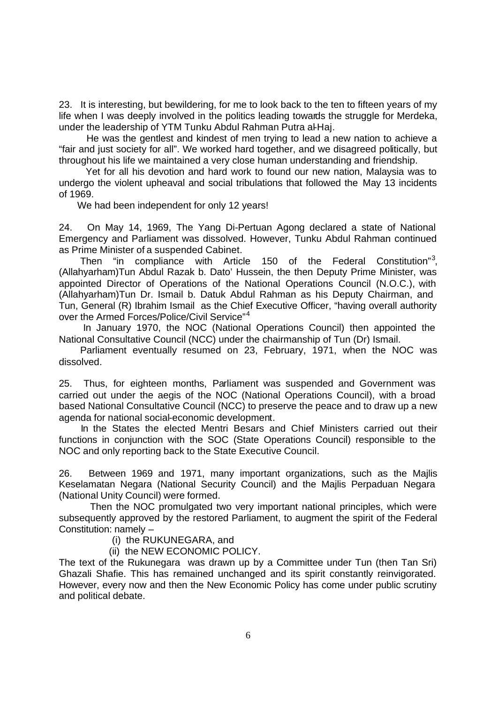23. It is interesting, but bewildering, for me to look back to the ten to fifteen years of my life when I was deeply involved in the politics leading towards the struggle for Merdeka, under the leadership of YTM Tunku Abdul Rahman Putra al-Haj.

 He was the gentlest and kindest of men trying to lead a new nation to achieve a "fair and just society for all". We worked hard together, and we disagreed politically, but throughout his life we maintained a very close human understanding and friendship.

 Yet for all his devotion and hard work to found our new nation, Malaysia was to undergo the violent upheaval and social tribulations that followed the May 13 incidents of 1969.

We had been independent for only 12 years!

24. On May 14, 1969, The Yang Di-Pertuan Agong declared a state of National Emergency and Parliament was dissolved. However, Tunku Abdul Rahman continued as Prime Minister of a suspended Cabinet.

Then "in compliance with Article 150 of the Federal Constitution"<sup>3</sup>, (Allahyarham)Tun Abdul Razak b. Dato' Hussein, the then Deputy Prime Minister, was appointed Director of Operations of the National Operations Council (N.O.C.), with (Allahyarham)Tun Dr. Ismail b. Datuk Abdul Rahman as his Deputy Chairman, and Tun, General (R) Ibrahim Ismail as the Chief Executive Officer, "having overall authority over the Armed Forces/Police/Civil Service"<sup>4</sup>

 In January 1970, the NOC (National Operations Council) then appointed the National Consultative Council (NCC) under the chairmanship of Tun (Dr) Ismail.

 Parliament eventually resumed on 23, February, 1971, when the NOC was dissolved.

25. Thus, for eighteen months, Parliament was suspended and Government was carried out under the aegis of the NOC (National Operations Council), with a broad based National Consultative Council (NCC) to preserve the peace and to draw up a new agenda for national social-economic development.

 In the States the elected Mentri Besars and Chief Ministers carried out their functions in conjunction with the SOC (State Operations Council) responsible to the NOC and only reporting back to the State Executive Council.

26. Between 1969 and 1971, many important organizations, such as the Majlis Keselamatan Negara (National Security Council) and the Majlis Perpaduan Negara (National Unity Council) were formed.

 Then the NOC promulgated two very important national principles, which were subsequently approved by the restored Parliament, to augment the spirit of the Federal Constitution: namely –

(i) the RUKUNEGARA, and

(ii) the NEW ECONOMIC POLICY.

The text of the Rukunegara was drawn up by a Committee under Tun (then Tan Sri) Ghazali Shafie. This has remained unchanged and its spirit constantly reinvigorated. However, every now and then the New Economic Policy has come under public scrutiny and political debate.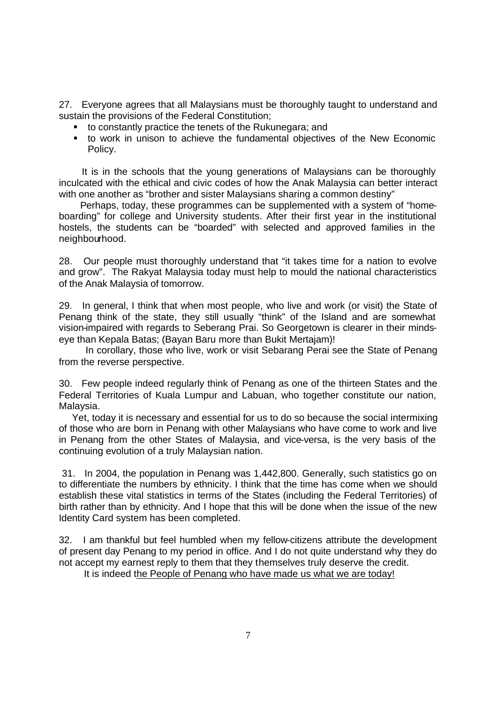27. Everyone agrees that all Malaysians must be thoroughly taught to understand and sustain the provisions of the Federal Constitution;

- to constantly practice the tenets of the Rukunegara; and
- ß to work in unison to achieve the fundamental objectives of the New Economic Policy.

 It is in the schools that the young generations of Malaysians can be thoroughly inculcated with the ethical and civic codes of how the Anak Malaysia can better interact with one another as "brother and sister Malaysians sharing a common destiny"

 Perhaps, today, these programmes can be supplemented with a system of "homeboarding" for college and University students. After their first year in the institutional hostels, the students can be "boarded" with selected and approved families in the neighbourhood.

28. Our people must thoroughly understand that "it takes time for a nation to evolve and grow". The Rakyat Malaysia today must help to mould the national characteristics of the Anak Malaysia of tomorrow.

29. In general, I think that when most people, who live and work (or visit) the State of Penang think of the state, they still usually "think" of the Island and are somewhat vision-impaired with regards to Seberang Prai. So Georgetown is clearer in their mindseye than Kepala Batas; (Bayan Baru more than Bukit Mertajam)!

 In corollary, those who live, work or visit Sebarang Perai see the State of Penang from the reverse perspective.

30. Few people indeed regularly think of Penang as one of the thirteen States and the Federal Territories of Kuala Lumpur and Labuan, who together constitute our nation, Malaysia.

 Yet, today it is necessary and essential for us to do so because the social intermixing of those who are born in Penang with other Malaysians who have come to work and live in Penang from the other States of Malaysia, and vice-versa, is the very basis of the continuing evolution of a truly Malaysian nation.

 31. In 2004, the population in Penang was 1,442,800. Generally, such statistics go on to differentiate the numbers by ethnicity. I think that the time has come when we should establish these vital statistics in terms of the States (including the Federal Territories) of birth rather than by ethnicity. And I hope that this will be done when the issue of the new Identity Card system has been completed.

32. I am thankful but feel humbled when my fellow-citizens attribute the development of present day Penang to my period in office. And I do not quite understand why they do not accept my earnest reply to them that they themselves truly deserve the credit.

It is indeed the People of Penang who have made us what we are today!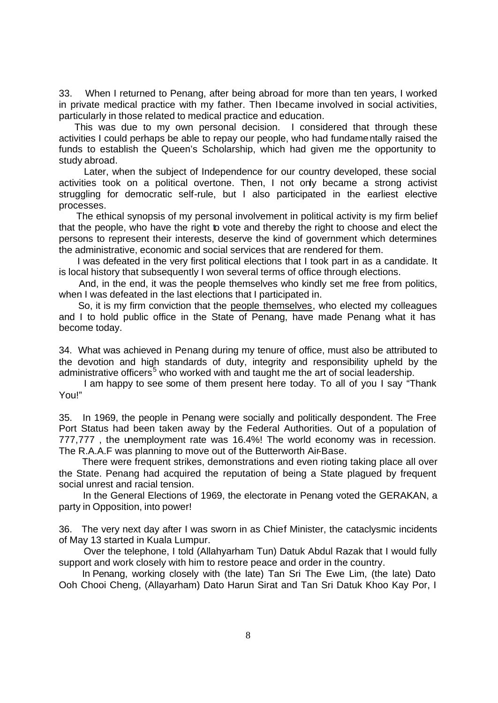33. When I returned to Penang, after being abroad for more than ten years, I worked in private medical practice with my father. Then Ibecame involved in social activities, particularly in those related to medical practice and education.

 This was due to my own personal decision. I considered that through these activities I could perhaps be able to repay our people, who had fundamentally raised the funds to establish the Queen's Scholarship, which had given me the opportunity to study abroad.

 Later, when the subject of Independence for our country developed, these social activities took on a political overtone. Then, I not only became a strong activist struggling for democratic self-rule, but I also participated in the earliest elective processes.

 The ethical synopsis of my personal involvement in political activity is my firm belief that the people, who have the right to vote and thereby the right to choose and elect the persons to represent their interests, deserve the kind of government which determines the administrative, economic and social services that are rendered for them.

 I was defeated in the very first political elections that I took part in as a candidate. It is local history that subsequently I won several terms of office through elections.

 And, in the end, it was the people themselves who kindly set me free from politics, when I was defeated in the last elections that I participated in.

 So, it is my firm conviction that the people themselves, who elected my colleagues and I to hold public office in the State of Penang, have made Penang what it has become today.

34. What was achieved in Penang during my tenure of office, must also be attributed to the devotion and high standards of duty, integrity and responsibility upheld by the administrative officers<sup>5</sup> who worked with and taught me the art of social leadership.

I am happy to see some of them present here today. To all of you I say "Thank You!"

35. In 1969, the people in Penang were socially and politically despondent. The Free Port Status had been taken away by the Federal Authorities. Out of a population of 777,777 , the unemployment rate was 16.4%! The world economy was in recession. The R.A.A.F was planning to move out of the Butterworth Air-Base.

 There were frequent strikes, demonstrations and even rioting taking place all over the State. Penang had acquired the reputation of being a State plagued by frequent social unrest and racial tension.

 In the General Elections of 1969, the electorate in Penang voted the GERAKAN, a party in Opposition, into power!

36. The very next day after I was sworn in as Chief Minister, the cataclysmic incidents of May 13 started in Kuala Lumpur.

 Over the telephone, I told (Allahyarham Tun) Datuk Abdul Razak that I would fully support and work closely with him to restore peace and order in the country.

 In Penang, working closely with (the late) Tan Sri The Ewe Lim, (the late) Dato Ooh Chooi Cheng, (Allayarham) Dato Harun Sirat and Tan Sri Datuk Khoo Kay Por, I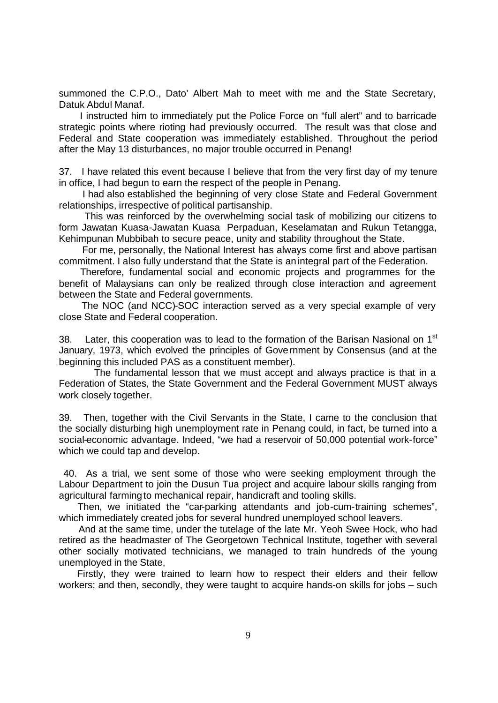summoned the C.P.O., Dato' Albert Mah to meet with me and the State Secretary, Datuk Abdul Manaf.

 I instructed him to immediately put the Police Force on "full alert" and to barricade strategic points where rioting had previously occurred. The result was that close and Federal and State cooperation was immediately established. Throughout the period after the May 13 disturbances, no major trouble occurred in Penang!

37. I have related this event because I believe that from the very first day of my tenure in office, I had begun to earn the respect of the people in Penang.

 I had also established the beginning of very close State and Federal Government relationships, irrespective of political partisanship.

 This was reinforced by the overwhelming social task of mobilizing our citizens to form Jawatan Kuasa-Jawatan Kuasa Perpaduan, Keselamatan and Rukun Tetangga, Kehimpunan Mubbibah to secure peace, unity and stability throughout the State.

 For me, personally, the National Interest has always come first and above partisan commitment. I also fully understand that the State is an integral part of the Federation.

 Therefore, fundamental social and economic projects and programmes for the benefit of Malaysians can only be realized through close interaction and agreement between the State and Federal governments.

 The NOC (and NCC)-SOC interaction served as a very special example of very close State and Federal cooperation.

38. Later, this cooperation was to lead to the formation of the Barisan Nasional on 1<sup>st</sup> January, 1973, which evolved the principles of Government by Consensus (and at the beginning this included PAS as a constituent member).

 The fundamental lesson that we must accept and always practice is that in a Federation of States, the State Government and the Federal Government MUST always work closely together.

39. Then, together with the Civil Servants in the State, I came to the conclusion that the socially disturbing high unemployment rate in Penang could, in fact, be turned into a social-economic advantage. Indeed, "we had a reservoir of 50,000 potential work-force" which we could tap and develop.

 40. As a trial, we sent some of those who were seeking employment through the Labour Department to join the Dusun Tua project and acquire labour skills ranging from agricultural farming to mechanical repair, handicraft and tooling skills.

 Then, we initiated the "car-parking attendants and job-cum-training schemes", which immediately created jobs for several hundred unemployed school leavers.

 And at the same time, under the tutelage of the late Mr. Yeoh Swee Hock, who had retired as the headmaster of The Georgetown Technical Institute, together with several other socially motivated technicians, we managed to train hundreds of the young unemployed in the State,

 Firstly, they were trained to learn how to respect their elders and their fellow workers; and then, secondly, they were taught to acquire hands-on skills for jobs – such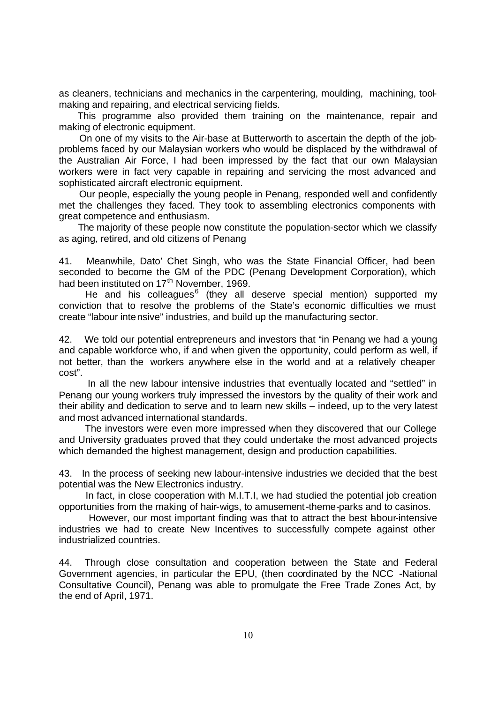as cleaners, technicians and mechanics in the carpentering, moulding, machining, toolmaking and repairing, and electrical servicing fields.

 This programme also provided them training on the maintenance, repair and making of electronic equipment.

 On one of my visits to the Air-base at Butterworth to ascertain the depth of the jobproblems faced by our Malaysian workers who would be displaced by the withdrawal of the Australian Air Force, I had been impressed by the fact that our own Malaysian workers were in fact very capable in repairing and servicing the most advanced and sophisticated aircraft electronic equipment.

 Our people, especially the young people in Penang, responded well and confidently met the challenges they faced. They took to assembling electronics components with great competence and enthusiasm.

 The majority of these people now constitute the population-sector which we classify as aging, retired, and old citizens of Penang

41. Meanwhile, Dato' Chet Singh, who was the State Financial Officer, had been seconded to become the GM of the PDC (Penang Development Corporation), which had been instituted on 17<sup>th</sup> November, 1969.

He and his colleagues<sup>6</sup> (they all deserve special mention) supported my conviction that to resolve the problems of the State's economic difficulties we must create "labour intensive" industries, and build up the manufacturing sector.

42. We told our potential entrepreneurs and investors that "in Penang we had a young and capable workforce who, if and when given the opportunity, could perform as well, if not better, than the workers anywhere else in the world and at a relatively cheaper cost".

 In all the new labour intensive industries that eventually located and "settled" in Penang our young workers truly impressed the investors by the quality of their work and their ability and dedication to serve and to learn new skills – indeed, up to the very latest and most advanced international standards.

 The investors were even more impressed when they discovered that our College and University graduates proved that they could undertake the most advanced projects which demanded the highest management, design and production capabilities.

43. In the process of seeking new labour-intensive industries we decided that the best potential was the New Electronics industry.

 In fact, in close cooperation with M.I.T.I, we had studied the potential job creation opportunities from the making of hair-wigs, to amusement-theme-parks and to casinos.

However, our most important finding was that to attract the best abour-intensive industries we had to create New Incentives to successfully compete against other industrialized countries.

44. Through close consultation and cooperation between the State and Federal Government agencies, in particular the EPU, (then coordinated by the NCC -National Consultative Council), Penang was able to promulgate the Free Trade Zones Act, by the end of April, 1971.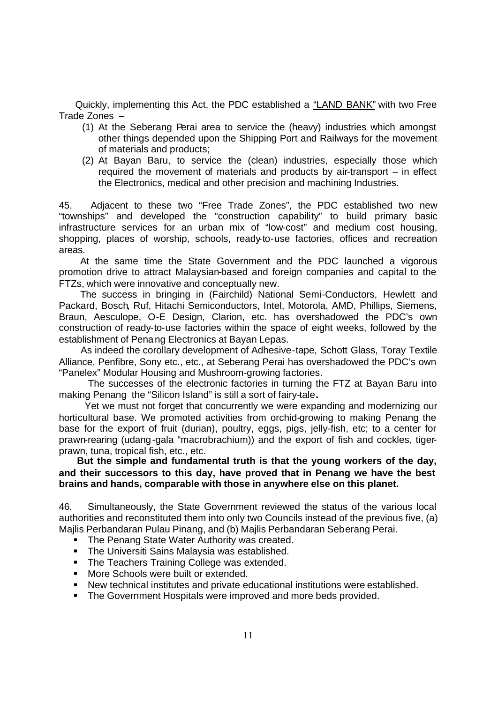Quickly, implementing this Act, the PDC established a "LAND BANK" with two Free Trade Zones –

- (1) At the Seberang Perai area to service the (heavy) industries which amongst other things depended upon the Shipping Port and Railways for the movement of materials and products;
- (2) At Bayan Baru, to service the (clean) industries, especially those which required the movement of materials and products by air-transport – in effect the Electronics, medical and other precision and machining Industries.

45. Adjacent to these two "Free Trade Zones", the PDC established two new "townships" and developed the "construction capability" to build primary basic infrastructure services for an urban mix of "low-cost" and medium cost housing, shopping, places of worship, schools, ready-to-use factories, offices and recreation areas.

 At the same time the State Government and the PDC launched a vigorous promotion drive to attract Malaysian-based and foreign companies and capital to the FTZs, which were innovative and conceptually new.

 The success in bringing in (Fairchild) National Semi-Conductors, Hewlett and Packard, Bosch, Ruf, Hitachi Semiconductors, Intel, Motorola, AMD, Phillips, Siemens, Braun, Aesculope, O-E Design, Clarion, etc. has overshadowed the PDC's own construction of ready-to-use factories within the space of eight weeks, followed by the establishment of Penang Electronics at Bayan Lepas.

 As indeed the corollary development of Adhesive-tape, Schott Glass, Toray Textile Alliance, Penfibre, Sony etc., etc., at Seberang Perai has overshadowed the PDC's own "Panelex" Modular Housing and Mushroom-growing factories.

 The successes of the electronic factories in turning the FTZ at Bayan Baru into making Penang the "Silicon Island" is still a sort of fairy-tale**.**

 Yet we must not forget that concurrently we were expanding and modernizing our horticultural base. We promoted activities from orchid-growing to making Penang the base for the export of fruit (durian), poultry, eggs, pigs, jelly-fish, etc; to a center for prawn-rearing (udang-gala "macrobrachium)) and the export of fish and cockles, tigerprawn, tuna, tropical fish, etc., etc.

 **But the simple and fundamental truth is that the young workers of the day, and their successors to this day, have proved that in Penang we have the best brains and hands, comparable with those in anywhere else on this planet.** 

46. Simultaneously, the State Government reviewed the status of the various local authorities and reconstituted them into only two Councils instead of the previous five, (a) Majlis Perbandaran Pulau Pinang, and (b) Majlis Perbandaran Seberang Perai.

- The Penang State Water Authority was created.
- **F** The Universiti Sains Malaysia was established.
- The Teachers Training College was extended.
- **Nore Schools were built or extended.**
- **New technical institutes and private educational institutions were established.**
- **F** The Government Hospitals were improved and more beds provided.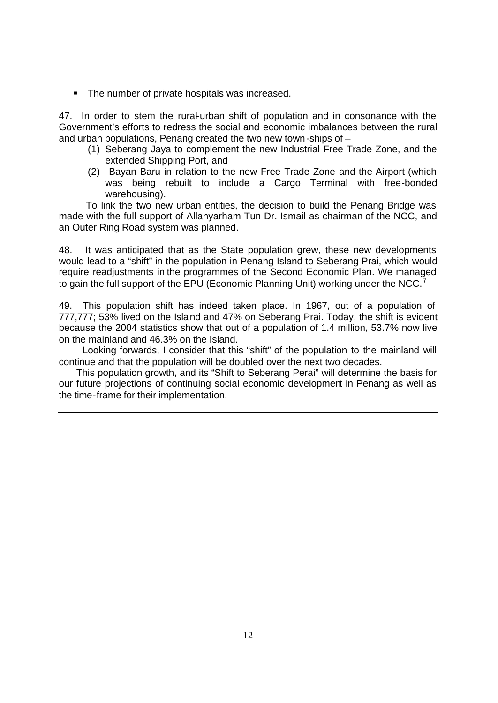• The number of private hospitals was increased.

47. In order to stem the rural-urban shift of population and in consonance with the Government's efforts to redress the social and economic imbalances between the rural and urban populations, Penang created the two new town-ships of –

- (1) Seberang Jaya to complement the new Industrial Free Trade Zone, and the extended Shipping Port, and
- (2) Bayan Baru in relation to the new Free Trade Zone and the Airport (which was being rebuilt to include a Cargo Terminal with free-bonded warehousing).

 To link the two new urban entities, the decision to build the Penang Bridge was made with the full support of Allahyarham Tun Dr. Ismail as chairman of the NCC, and an Outer Ring Road system was planned.

48. It was anticipated that as the State population grew, these new developments would lead to a "shift" in the population in Penang Island to Seberang Prai, which would require readjustments in the programmes of the Second Economic Plan. We managed to gain the full support of the EPU (Economic Planning Unit) working under the NCC.<sup>7</sup>

49. This population shift has indeed taken place. In 1967, out of a population of 777,777; 53% lived on the Island and 47% on Seberang Prai. Today, the shift is evident because the 2004 statistics show that out of a population of 1.4 million, 53.7% now live on the mainland and 46.3% on the Island.

 Looking forwards, I consider that this "shift" of the population to the mainland will continue and that the population will be doubled over the next two decades.

 This population growth, and its "Shift to Seberang Perai" will determine the basis for our future projections of continuing social economic development in Penang as well as the time-frame for their implementation.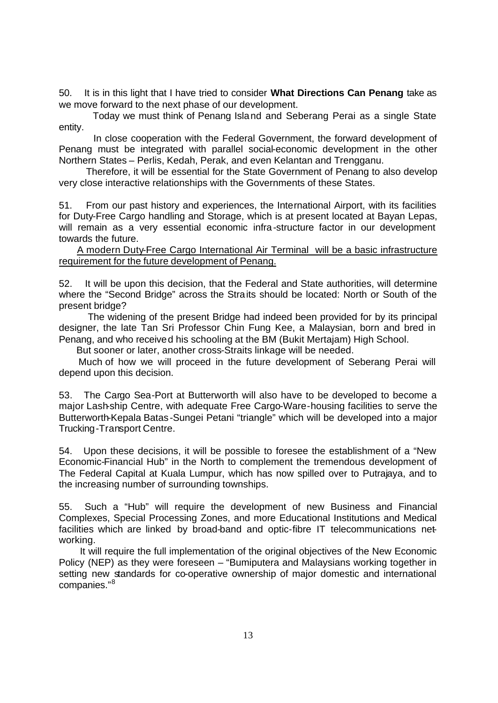50. It is in this light that I have tried to consider **What Directions Can Penang** take as we move forward to the next phase of our development.

 Today we must think of Penang Island and Seberang Perai as a single State entity.

 In close cooperation with the Federal Government, the forward development of Penang must be integrated with parallel social-economic development in the other Northern States – Perlis, Kedah, Perak, and even Kelantan and Trengganu.

 Therefore, it will be essential for the State Government of Penang to also develop very close interactive relationships with the Governments of these States.

51. From our past history and experiences, the International Airport, with its facilities for Duty-Free Cargo handling and Storage, which is at present located at Bayan Lepas, will remain as a very essential economic infra-structure factor in our development towards the future.

 A modern Duty-Free Cargo International Air Terminal will be a basic infrastructure requirement for the future development of Penang.

52. It will be upon this decision, that the Federal and State authorities, will determine where the "Second Bridge" across the Straits should be located: North or South of the present bridge?

 The widening of the present Bridge had indeed been provided for by its principal designer, the late Tan Sri Professor Chin Fung Kee, a Malaysian, born and bred in Penang, and who received his schooling at the BM (Bukit Mertajam) High School.

But sooner or later, another cross-Straits linkage will be needed.

 Much of how we will proceed in the future development of Seberang Perai will depend upon this decision.

53. The Cargo Sea-Port at Butterworth will also have to be developed to become a major Lash-ship Centre, with adequate Free Cargo-Ware-housing facilities to serve the Butterworth-Kepala Batas -Sungei Petani "triangle" which will be developed into a major Trucking-Transport Centre.

54. Upon these decisions, it will be possible to foresee the establishment of a "New Economic-Financial Hub" in the North to complement the tremendous development of The Federal Capital at Kuala Lumpur, which has now spilled over to Putrajaya, and to the increasing number of surrounding townships.

55. Such a "Hub" will require the development of new Business and Financial Complexes, Special Processing Zones, and more Educational Institutions and Medical facilities which are linked by broad-band and optic-fibre IT telecommunications networking.

 It will require the full implementation of the original objectives of the New Economic Policy (NEP) as they were foreseen – "Bumiputera and Malaysians working together in setting new standards for co-operative ownership of major domestic and international companies."<sup>8</sup>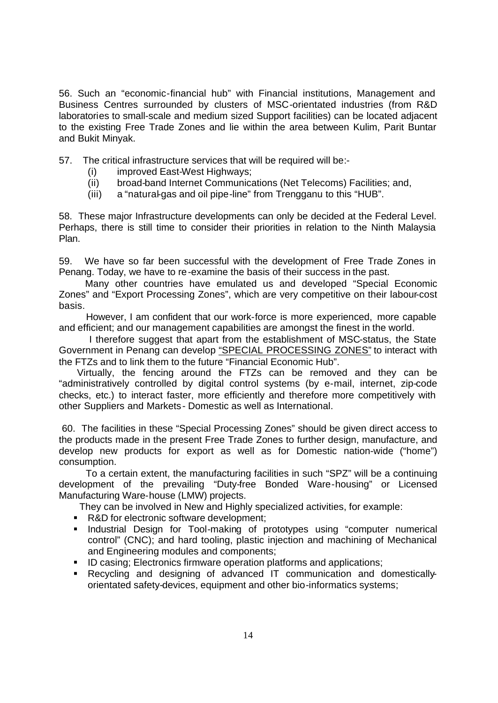56. Such an "economic-financial hub" with Financial institutions, Management and Business Centres surrounded by clusters of MSC-orientated industries (from R&D laboratories to small-scale and medium sized Support facilities) can be located adjacent to the existing Free Trade Zones and lie within the area between Kulim, Parit Buntar and Bukit Minyak.

57. The critical infrastructure services that will be required will be:-

- (i) improved East-West Highways;
- (ii) broad-band Internet Communications (Net Telecoms) Facilities; and,
- (iii) a "natural-gas and oil pipe-line" from Trengganu to this "HUB".

58. These major Infrastructure developments can only be decided at the Federal Level. Perhaps, there is still time to consider their priorities in relation to the Ninth Malaysia Plan.

59. We have so far been successful with the development of Free Trade Zones in Penang. Today, we have to re-examine the basis of their success in the past.

 Many other countries have emulated us and developed "Special Economic Zones" and "Export Processing Zones", which are very competitive on their labour-cost basis.

 However, I am confident that our work-force is more experienced, more capable and efficient; and our management capabilities are amongst the finest in the world.

 I therefore suggest that apart from the establishment of MSC-status, the State Government in Penang can develop "SPECIAL PROCESSING ZONES" to interact with the FTZs and to link them to the future "Financial Economic Hub".

 Virtually, the fencing around the FTZs can be removed and they can be "administratively controlled by digital control systems (by e-mail, internet, zip-code checks, etc.) to interact faster, more efficiently and therefore more competitively with other Suppliers and Markets - Domestic as well as International.

 60. The facilities in these "Special Processing Zones" should be given direct access to the products made in the present Free Trade Zones to further design, manufacture, and develop new products for export as well as for Domestic nation-wide ("home") consumption.

 To a certain extent, the manufacturing facilities in such "SPZ" will be a continuing development of the prevailing "Duty-free Bonded Ware-housing" or Licensed Manufacturing Ware-house (LMW) projects.

They can be involved in New and Highly specialized activities, for example:

- R&D for electronic software development;
- **•** Industrial Design for Tool-making of prototypes using "computer numerical control" (CNC); and hard tooling, plastic injection and machining of Mechanical and Engineering modules and components;
- **ID casing; Electronics firmware operation platforms and applications;**
- **Recycling and designing of advanced IT communication and domestically**orientated safety-devices, equipment and other bio-informatics systems;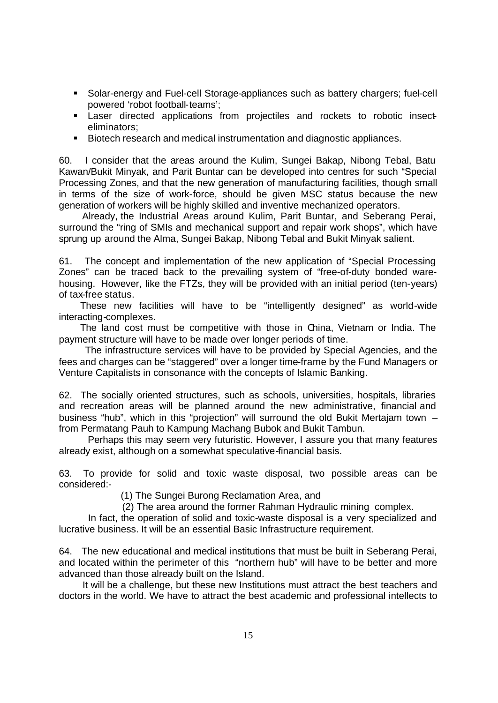- **Solar-energy and Fuel-cell Storage-appliances such as battery chargers; fuel-cell** powered 'robot football-teams';
- **Example 2** Laser directed applications from projectiles and rockets to robotic insecteliminators;
- Biotech research and medical instrumentation and diagnostic appliances.

60. I consider that the areas around the Kulim, Sungei Bakap, Nibong Tebal, Batu Kawan/Bukit Minyak, and Parit Buntar can be developed into centres for such "Special Processing Zones, and that the new generation of manufacturing facilities, though small in terms of the size of work-force, should be given MSC status because the new generation of workers will be highly skilled and inventive mechanized operators.

 Already, the Industrial Areas around Kulim, Parit Buntar, and Seberang Perai, surround the "ring of SMIs and mechanical support and repair work shops", which have sprung up around the Alma, Sungei Bakap, Nibong Tebal and Bukit Minyak salient.

61. The concept and implementation of the new application of "Special Processing Zones" can be traced back to the prevailing system of "free-of-duty bonded warehousing. However, like the FTZs, they will be provided with an initial period (ten-years) of tax-free status.

 These new facilities will have to be "intelligently designed" as world-wide interacting-complexes.

 The land cost must be competitive with those in China, Vietnam or India. The payment structure will have to be made over longer periods of time.

 The infrastructure services will have to be provided by Special Agencies, and the fees and charges can be "staggered" over a longer time-frame by the Fund Managers or Venture Capitalists in consonance with the concepts of Islamic Banking.

62. The socially oriented structures, such as schools, universities, hospitals, libraries and recreation areas will be planned around the new administrative, financial and business "hub", which in this "projection" will surround the old Bukit Mertajam town – from Permatang Pauh to Kampung Machang Bubok and Bukit Tambun.

 Perhaps this may seem very futuristic. However, I assure you that many features already exist, although on a somewhat speculative-financial basis.

63. To provide for solid and toxic waste disposal, two possible areas can be considered:-

(1) The Sungei Burong Reclamation Area, and

(2) The area around the former Rahman Hydraulic mining complex.

 In fact, the operation of solid and toxic-waste disposal is a very specialized and lucrative business. It will be an essential Basic Infrastructure requirement.

64. The new educational and medical institutions that must be built in Seberang Perai, and located within the perimeter of this "northern hub" will have to be better and more advanced than those already built on the Island.

 It will be a challenge, but these new Institutions must attract the best teachers and doctors in the world. We have to attract the best academic and professional intellects to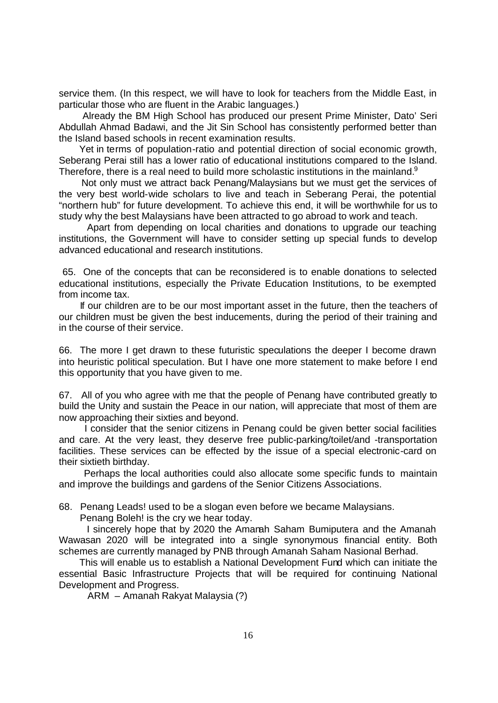service them. (In this respect, we will have to look for teachers from the Middle East, in particular those who are fluent in the Arabic languages.)

 Already the BM High School has produced our present Prime Minister, Dato' Seri Abdullah Ahmad Badawi, and the Jit Sin School has consistently performed better than the Island based schools in recent examination results.

 Yet in terms of population-ratio and potential direction of social economic growth, Seberang Perai still has a lower ratio of educational institutions compared to the Island. Therefore, there is a real need to build more scholastic institutions in the mainland. $9$ 

 Not only must we attract back Penang/Malaysians but we must get the services of the very best world-wide scholars to live and teach in Seberang Perai, the potential "northern hub" for future development. To achieve this end, it will be worthwhile for us to study why the best Malaysians have been attracted to go abroad to work and teach.

 Apart from depending on local charities and donations to upgrade our teaching institutions, the Government will have to consider setting up special funds to develop advanced educational and research institutions.

 65. One of the concepts that can be reconsidered is to enable donations to selected educational institutions, especially the Private Education Institutions, to be exempted from income tax.

 If our children are to be our most important asset in the future, then the teachers of our children must be given the best inducements, during the period of their training and in the course of their service.

66. The more I get drawn to these futuristic speculations the deeper I become drawn into heuristic political speculation. But I have one more statement to make before I end this opportunity that you have given to me.

67. All of you who agree with me that the people of Penang have contributed greatly to build the Unity and sustain the Peace in our nation, will appreciate that most of them are now approaching their sixties and beyond.

 I consider that the senior citizens in Penang could be given better social facilities and care. At the very least, they deserve free public-parking/toilet/and -transportation facilities. These services can be effected by the issue of a special electronic-card on their sixtieth birthday.

 Perhaps the local authorities could also allocate some specific funds to maintain and improve the buildings and gardens of the Senior Citizens Associations.

68. Penang Leads! used to be a slogan even before we became Malaysians.

Penang Boleh! is the cry we hear today.

 I sincerely hope that by 2020 the Amanah Saham Bumiputera and the Amanah Wawasan 2020 will be integrated into a single synonymous financial entity. Both schemes are currently managed by PNB through Amanah Saham Nasional Berhad.

 This will enable us to establish a National Development Fund which can initiate the essential Basic Infrastructure Projects that will be required for continuing National Development and Progress.

ARM – Amanah Rakyat Malaysia (?)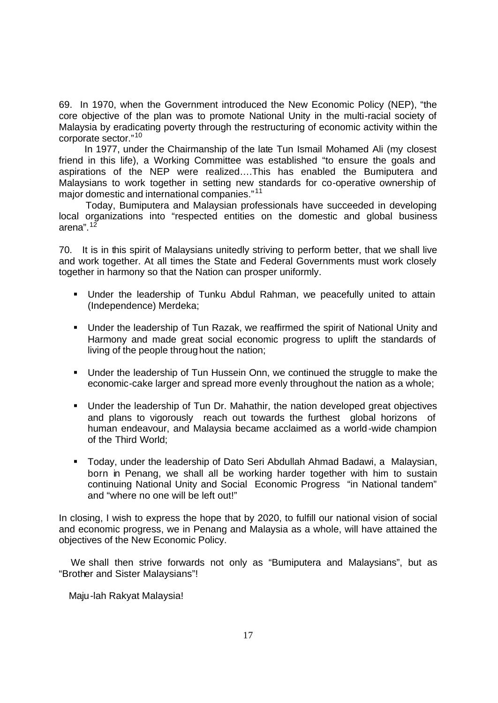69. In 1970, when the Government introduced the New Economic Policy (NEP), "the core objective of the plan was to promote National Unity in the multi-racial society of Malaysia by eradicating poverty through the restructuring of economic activity within the corporate sector."<sup>10</sup>

 In 1977, under the Chairmanship of the late Tun Ismail Mohamed Ali (my closest friend in this life), a Working Committee was established "to ensure the goals and aspirations of the NEP were realized….This has enabled the Bumiputera and Malaysians to work together in setting new standards for co-operative ownership of major domestic and international companies."<sup>11</sup>

 Today, Bumiputera and Malaysian professionals have succeeded in developing local organizations into "respected entities on the domestic and global business arena".<sup>12</sup>

70. It is in this spirit of Malaysians unitedly striving to perform better, that we shall live and work together. At all times the State and Federal Governments must work closely together in harmony so that the Nation can prosper uniformly.

- Under the leadership of Tunku Abdul Rahman, we peacefully united to attain (Independence) Merdeka;
- **Under the leadership of Tun Razak, we reaffirmed the spirit of National Unity and** Harmony and made great social economic progress to uplift the standards of living of the people throughout the nation;
- **•** Under the leadership of Tun Hussein Onn, we continued the struggle to make the economic-cake larger and spread more evenly throughout the nation as a whole;
- Under the leadership of Tun Dr. Mahathir, the nation developed great objectives and plans to vigorously reach out towards the furthest global horizons of human endeavour, and Malaysia became acclaimed as a world-wide champion of the Third World;
- ß Today, under the leadership of Dato Seri Abdullah Ahmad Badawi, a Malaysian, born in Penang, we shall all be working harder together with him to sustain continuing National Unity and Social Economic Progress "in National tandem" and "where no one will be left out!"

In closing, I wish to express the hope that by 2020, to fulfill our national vision of social and economic progress, we in Penang and Malaysia as a whole, will have attained the objectives of the New Economic Policy.

 We shall then strive forwards not only as "Bumiputera and Malaysians", but as "Brother and Sister Malaysians"!

Maju-lah Rakyat Malaysia!